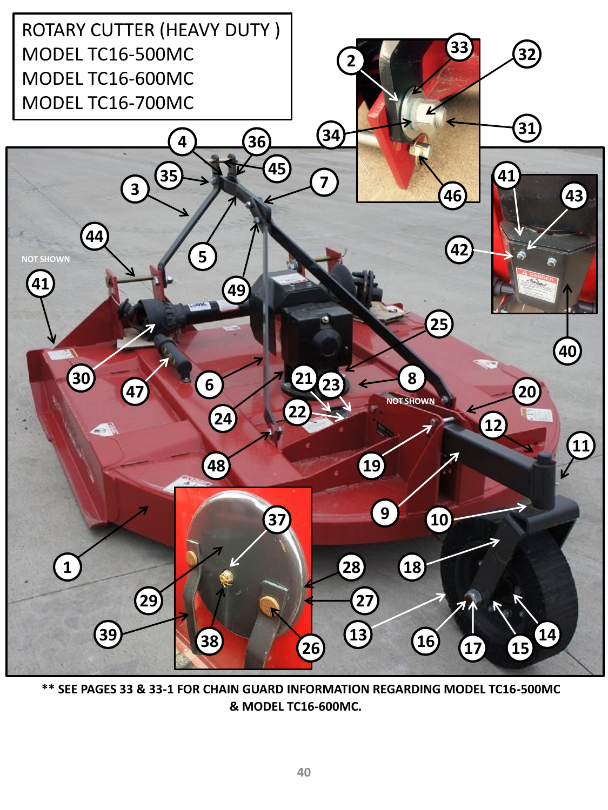

 **\*\* SEE PAGES 33 & 33-1 FOR CHAIN GUARD INFORMATION REGARDING MODEL TC16-500MC & MODEL TC16-600MC.**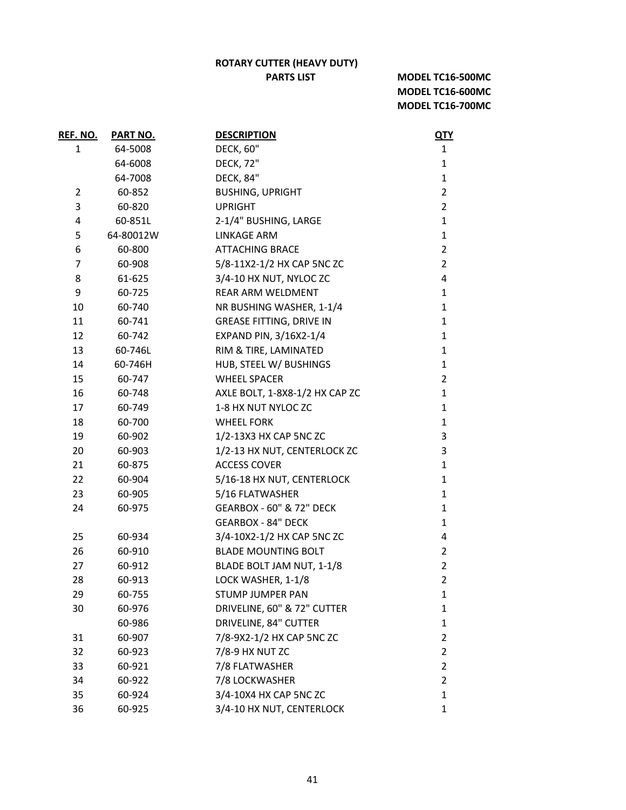## **ROTARY CUTTER (HEAVY DUTY)**

## **PARTS LIST**

**MODEL TC16-500MC MODEL TC16-600MC MODEL TC16-700MC**

| REF. NO.     | <b>PART NO.</b> | <b>DESCRIPTION</b>              | <u>QTY</u>     |
|--------------|-----------------|---------------------------------|----------------|
| $\mathbf{1}$ | 64-5008         | <b>DECK, 60"</b>                | $\mathbf{1}$   |
|              | 64-6008         | <b>DECK, 72"</b>                | $\mathbf{1}$   |
|              | 64-7008         | <b>DECK, 84"</b>                | $\mathbf{1}$   |
| 2            | 60-852          | <b>BUSHING, UPRIGHT</b>         | $\overline{2}$ |
| 3            | 60-820          | <b>UPRIGHT</b>                  | $\overline{2}$ |
| 4            | 60-851L         | 2-1/4" BUSHING, LARGE           | $\mathbf{1}$   |
| 5            | 64-80012W       | <b>LINKAGE ARM</b>              | $\mathbf{1}$   |
| 6            | 60-800          | <b>ATTACHING BRACE</b>          | $\overline{2}$ |
| 7            | 60-908          | 5/8-11X2-1/2 HX CAP 5NC ZC      | $\overline{2}$ |
| 8            | 61-625          | 3/4-10 HX NUT, NYLOC ZC         | 4              |
| 9            | 60-725          | <b>REAR ARM WELDMENT</b>        | $\mathbf{1}$   |
| 10           | 60-740          | NR BUSHING WASHER, 1-1/4        | 1              |
| 11           | 60-741          | <b>GREASE FITTING, DRIVE IN</b> | 1              |
| 12           | 60-742          | EXPAND PIN, 3/16X2-1/4          | $\mathbf{1}$   |
| 13           | 60-746L         | RIM & TIRE, LAMINATED           | $\mathbf 1$    |
| 14           | 60-746H         | HUB, STEEL W/ BUSHINGS          | $\mathbf{1}$   |
| 15           | 60-747          | <b>WHEEL SPACER</b>             | $\overline{2}$ |
| 16           | 60-748          | AXLE BOLT, 1-8X8-1/2 HX CAP ZC  | $\mathbf{1}$   |
| 17           | 60-749          | 1-8 HX NUT NYLOC ZC             | $\mathbf{1}$   |
| 18           | 60-700          | <b>WHEEL FORK</b>               | $\mathbf{1}$   |
| 19           | 60-902          | 1/2-13X3 HX CAP 5NC ZC          | 3              |
| 20           | 60-903          | 1/2-13 HX NUT, CENTERLOCK ZC    | 3              |
| 21           | 60-875          | <b>ACCESS COVER</b>             | $\mathbf{1}$   |
| 22           | 60-904          | 5/16-18 HX NUT, CENTERLOCK      | $\mathbf{1}$   |
| 23           | 60-905          | 5/16 FLATWASHER                 | $\mathbf{1}$   |
| 24           | 60-975          | GEARBOX - 60" & 72" DECK        | 1              |
|              |                 | <b>GEARBOX - 84" DECK</b>       | $\mathbf{1}$   |
| 25           | 60-934          | 3/4-10X2-1/2 HX CAP 5NC ZC      | 4              |
| 26           | 60-910          | <b>BLADE MOUNTING BOLT</b>      | $\overline{2}$ |
| 27           | 60-912          | BLADE BOLT JAM NUT, 1-1/8       | $\overline{2}$ |
| 28           | 60-913          | LOCK WASHER, 1-1/8              | $\overline{2}$ |
| 29           | 60-755          | <b>STUMP JUMPER PAN</b>         | 1              |
| 30           | 60-976          | DRIVELINE, 60" & 72" CUTTER     | 1              |
|              | 60-986          | DRIVELINE, 84" CUTTER           | $\mathbf{1}$   |
| 31           | 60-907          | 7/8-9X2-1/2 HX CAP 5NC ZC       | $\overline{2}$ |
| 32           | 60-923          | 7/8-9 HX NUT ZC                 | $\overline{2}$ |
| 33           | 60-921          | 7/8 FLATWASHER                  | $\overline{2}$ |
| 34           | 60-922          | 7/8 LOCKWASHER                  | $\overline{2}$ |
| 35           | 60-924          | 3/4-10X4 HX CAP 5NC ZC          | 1              |
| 36           | 60-925          | 3/4-10 HX NUT, CENTERLOCK       | 1              |